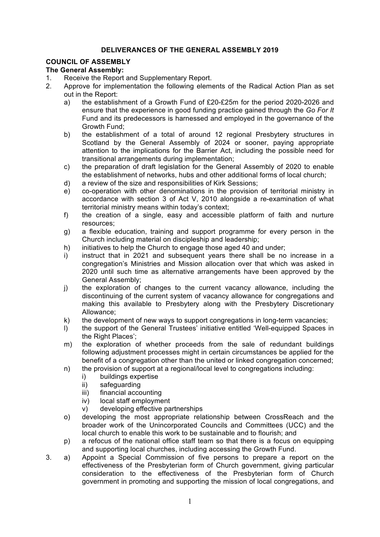## **DELIVERANCES OF THE GENERAL ASSEMBLY 2019**

## **COUNCIL OF ASSEMBLY**

## **The General Assembly:**

- 1. Receive the Report and Supplementary Report.
- 2. Approve for implementation the following elements of the Radical Action Plan as set out in the Report:
	- a) the establishment of a Growth Fund of £20-£25m for the period 2020-2026 and ensure that the experience in good funding practice gained through the *Go For It* Fund and its predecessors is harnessed and employed in the governance of the Growth Fund;
	- b) the establishment of a total of around 12 regional Presbytery structures in Scotland by the General Assembly of 2024 or sooner, paying appropriate attention to the implications for the Barrier Act, including the possible need for transitional arrangements during implementation;
	- c) the preparation of draft legislation for the General Assembly of 2020 to enable the establishment of networks, hubs and other additional forms of local church;
	- d) a review of the size and responsibilities of Kirk Sessions;
	- e) co-operation with other denominations in the provision of territorial ministry in accordance with section 3 of Act V, 2010 alongside a re-examination of what territorial ministry means within today's context;
	- f) the creation of a single, easy and accessible platform of faith and nurture resources;
	- g) a flexible education, training and support programme for every person in the Church including material on discipleship and leadership;
	- h) initiatives to help the Church to engage those aged 40 and under;
	- i) instruct that in 2021 and subsequent vears there shall be no increase in a congregation's Ministries and Mission allocation over that which was asked in 2020 until such time as alternative arrangements have been approved by the General Assembly;
	- j) the exploration of changes to the current vacancy allowance, including the discontinuing of the current system of vacancy allowance for congregations and making this available to Presbytery along with the Presbytery Discretionary Allowance;
	- k) the development of new ways to support congregations in long-term vacancies;
	- l) the support of the General Trustees' initiative entitled 'Well-equipped Spaces in the Right Places';
	- m) the exploration of whether proceeds from the sale of redundant buildings following adjustment processes might in certain circumstances be applied for the benefit of a congregation other than the united or linked congregation concerned;
	- n) the provision of support at a regional/local level to congregations including:
		- i) buildings expertise
		- ii) safeguarding
		- iii) financial accounting
		- iv) local staff employment
		- v) developing effective partnerships
	- o) developing the most appropriate relationship between CrossReach and the broader work of the Unincorporated Councils and Committees (UCC) and the local church to enable this work to be sustainable and to flourish; and
	- p) a refocus of the national office staff team so that there is a focus on equipping and supporting local churches, including accessing the Growth Fund.
- 3. a) Appoint a Special Commission of five persons to prepare a report on the effectiveness of the Presbyterian form of Church government, giving particular consideration to the effectiveness of the Presbyterian form of Church government in promoting and supporting the mission of local congregations, and